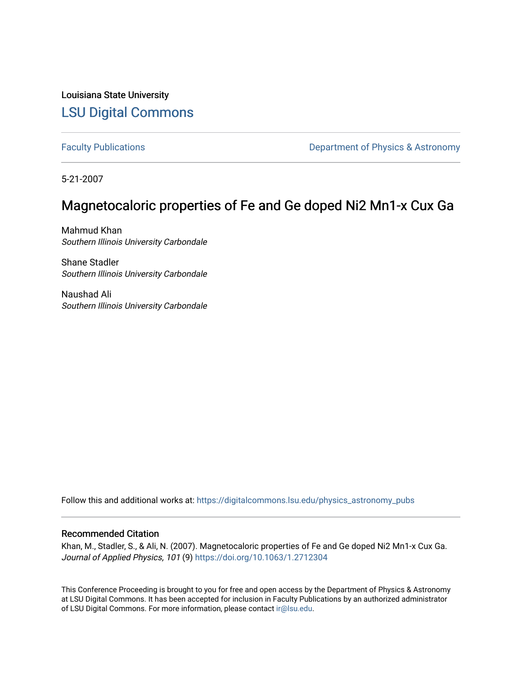Louisiana State University [LSU Digital Commons](https://digitalcommons.lsu.edu/)

[Faculty Publications](https://digitalcommons.lsu.edu/physics_astronomy_pubs) **Exercise 2 and Table 2 and Table 2 and Table 2 and Table 2 and Table 2 and Table 2 and Table 2 and Table 2 and Table 2 and Table 2 and Table 2 and Table 2 and Table 2 and Table 2 and Table 2 and Table** 

5-21-2007

# Magnetocaloric properties of Fe and Ge doped Ni2 Mn1-x Cux Ga

Mahmud Khan Southern Illinois University Carbondale

Shane Stadler Southern Illinois University Carbondale

Naushad Ali Southern Illinois University Carbondale

Follow this and additional works at: [https://digitalcommons.lsu.edu/physics\\_astronomy\\_pubs](https://digitalcommons.lsu.edu/physics_astronomy_pubs?utm_source=digitalcommons.lsu.edu%2Fphysics_astronomy_pubs%2F5327&utm_medium=PDF&utm_campaign=PDFCoverPages) 

## Recommended Citation

Khan, M., Stadler, S., & Ali, N. (2007). Magnetocaloric properties of Fe and Ge doped Ni2 Mn1-x Cux Ga. Journal of Applied Physics, 101 (9) <https://doi.org/10.1063/1.2712304>

This Conference Proceeding is brought to you for free and open access by the Department of Physics & Astronomy at LSU Digital Commons. It has been accepted for inclusion in Faculty Publications by an authorized administrator of LSU Digital Commons. For more information, please contact [ir@lsu.edu](mailto:ir@lsu.edu).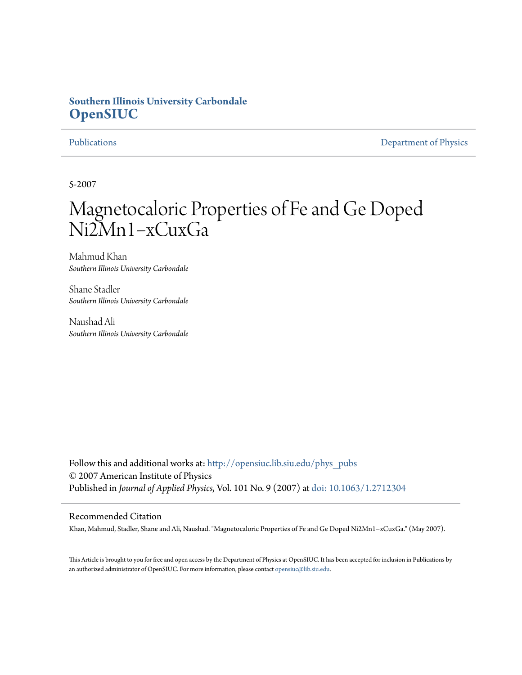## **Southern Illinois University Carbondale [OpenSIUC](http://opensiuc.lib.siu.edu?utm_source=opensiuc.lib.siu.edu%2Fphys_pubs%2F29&utm_medium=PDF&utm_campaign=PDFCoverPages)**

[Publications](http://opensiuc.lib.siu.edu/phys_pubs?utm_source=opensiuc.lib.siu.edu%2Fphys_pubs%2F29&utm_medium=PDF&utm_campaign=PDFCoverPages) [Department of Physics](http://opensiuc.lib.siu.edu/phys?utm_source=opensiuc.lib.siu.edu%2Fphys_pubs%2F29&utm_medium=PDF&utm_campaign=PDFCoverPages)

5-2007

# Magnetocaloric Properties of Fe and Ge Doped Ni2Mn1−xCuxGa

Mahmud Khan *Southern Illinois University Carbondale*

Shane Stadler *Southern Illinois University Carbondale*

Naushad Ali *Southern Illinois University Carbondale*

Follow this and additional works at: [http://opensiuc.lib.siu.edu/phys\\_pubs](http://opensiuc.lib.siu.edu/phys_pubs?utm_source=opensiuc.lib.siu.edu%2Fphys_pubs%2F29&utm_medium=PDF&utm_campaign=PDFCoverPages) © 2007 American Institute of Physics Published in *Journal of Applied Physics*, Vol. 101 No. 9 (2007) at [doi: 10.1063/1.2712304](http://dx.doi.org/10.1063/1.2712304)

### Recommended Citation

Khan, Mahmud, Stadler, Shane and Ali, Naushad. "Magnetocaloric Properties of Fe and Ge Doped Ni2Mn1−xCuxGa." (May 2007).

This Article is brought to you for free and open access by the Department of Physics at OpenSIUC. It has been accepted for inclusion in Publications by an authorized administrator of OpenSIUC. For more information, please contact [opensiuc@lib.siu.edu.](mailto:opensiuc@lib.siu.edu)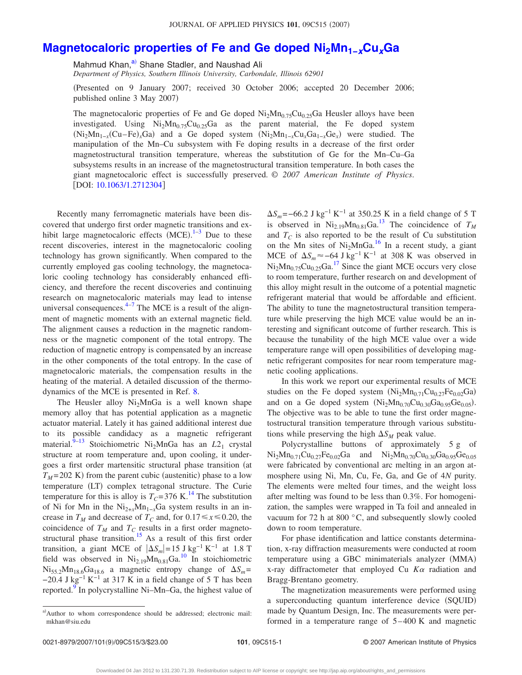## **[Magnetocaloric properties of Fe and Ge doped Ni2Mn1−](http://dx.doi.org/10.1063/1.2712304)***x***Cu***x***Ga**

Mahmud Khan,<sup>a)</sup> Shane Stadler, and Naushad Ali

*Department of Physics, Southern Illinois University, Carbondale, Illinois 62901*

Presented on 9 January 2007; received 30 October 2006; accepted 20 December 2006; published online 3 May 2007)

The magnetocaloric properties of Fe and Ge doped  $\text{Ni}_2\text{Mn}_{0.75}\text{Cu}_{0.25}\text{Ga}$  Heusler alloys have been investigated. Using  $Ni<sub>2</sub>Mn<sub>0.75</sub>Cu<sub>0.25</sub>Ga$  as the parent material, the Fe doped system (Ni<sub>2</sub>Mn<sub>1−*x*</sub>(Cu–Fe)<sub>*x*</sub>Ga) and a Ge doped system (Ni<sub>2</sub>Mn<sub>1−*x*</sub>Cu<sub>*x*</sub>Ga<sub>1−*x*</sub>Ge<sub>*x*</sub>) were studied. The manipulation of the Mn–Cu subsystem with Fe doping results in a decrease of the first order magnetostructural transition temperature, whereas the substitution of Ge for the Mn–Cu–Ga subsystems results in an increase of the magnetostructural transition temperature. In both cases the giant magnetocaloric effect is successfully preserved. © *2007 American Institute of Physics*. [DOI: [10.1063/1.2712304](http://dx.doi.org/10.1063/1.2712304)]

Recently many ferromagnetic materials have been discovered that undergo first order magnetic transitions and exhibit large magnetocaloric effects  $(MCE).$ <sup>[1](#page-4-0)-3</sup> Due to these recent discoveries, interest in the magnetocaloric cooling technology has grown significantly. When compared to the currently employed gas cooling technology, the magnetocaloric cooling technology has considerably enhanced efficiency, and therefore the recent discoveries and continuing research on magnetocaloric materials may lead to intense universal consequences. $4-7$  The MCE is a result of the alignment of magnetic moments with an external magnetic field. The alignment causes a reduction in the magnetic randomness or the magnetic component of the total entropy. The reduction of magnetic entropy is compensated by an increase in the other components of the total entropy. In the case of magnetocaloric materials, the compensation results in the heating of the material. A detailed discussion of the thermodynamics of the MCE is presented in Ref. [8.](#page-4-4)

The Heusler alloy  $Ni<sub>2</sub>MnGa$  is a well known shape memory alloy that has potential application as a magnetic actuator material. Lately it has gained additional interest due to its possible candidacy as a magnetic refrigerant material.<sup>9–[13](#page-4-6)</sup> Stoichiometric Ni<sub>2</sub>MnGa has an *L*2<sub>1</sub> crystal structure at room temperature and, upon cooling, it undergoes a first order martensitic structural phase transition (at  $T_M$ =202 K) from the parent cubic (austenitic) phase to a low temperature (LT) complex tetragonal structure. The Curie temperature for this is alloy is  $T_C = 376$  K.<sup>14</sup> The substitution of Ni for Mn in the  $Ni_{2+x}Mn_{1-x}Ga$  system results in an increase in  $T_M$  and decrease of  $T_C$  and, for 0.17 $\leq x \leq 0.20$ , the coincidence of  $T_M$  and  $T_C$  results in a first order magnetostructural phase transition.<sup>15</sup> As a result of this first order transition, a giant MCE of  $|\Delta S_m|=15$  J kg<sup>-1</sup> K<sup>-1</sup> at 1.8 T field was observed in  $Ni<sub>2.19</sub>Mn<sub>0.81</sub>Ga<sup>10</sup>$  In stoichiometric  $Ni_{55.2}Mn_{18.6}Ga_{18.6}$  a magnetic entropy change of  $\Delta S_m$ =  $-20.4$  J kg<sup>-1</sup> K<sup>-1</sup> at 317 K in a field change of 5 T has been reported[.9](#page-4-5) In polycrystalline Ni–Mn–Ga, the highest value of

 $\Delta S_m$  =−66.2 J kg<sup>-1</sup> K<sup>-1</sup> at 350.25 K in a field change of 5 T is observed in  $Ni_{2.19}Mn_{0.81}Ga.<sup>13</sup>$  The coincidence of  $T_M$ and  $T_c$  is also reported to be the result of Cu substitution on the Mn sites of Ni<sub>2</sub>MnGa.<sup>16</sup> In a recent study, a giant MCE of  $\Delta S_m$ ≈-64 J kg<sup>-1</sup> K<sup>-1</sup> at 308 K was observed in  $Ni<sub>2</sub>Mn<sub>0.75</sub>Cu<sub>0.25</sub>Ga<sup>17</sup>$  Since the giant MCE occurs very close to room temperature, further research on and development of this alloy might result in the outcome of a potential magnetic refrigerant material that would be affordable and efficient. The ability to tune the magnetostructural transition temperature while preserving the high MCE value would be an interesting and significant outcome of further research. This is because the tunability of the high MCE value over a wide temperature range will open possibilities of developing magnetic refrigerant composites for near room temperature magnetic cooling applications.

In this work we report our experimental results of MCE studies on the Fe doped system  $(Ni_2Mn_{0.71}Cu_{0.27}Fe_{0.02}Ga)$ and on a Ge doped system  $(Ni_2Mn_{0.70}Cu_{0.30}Ga_{0.95}Ge_{0.05})$ . The objective was to be able to tune the first order magnetostructural transition temperature through various substitutions while preserving the high  $\Delta S_M$  peak value.

Polycrystalline buttons of approximately 5 g of  $Ni<sub>2</sub>Mn<sub>0.71</sub>Cu<sub>0.27</sub>Fe<sub>0.02</sub>Ga$  and  $Ni<sub>2</sub>Mn<sub>0.70</sub>Cu<sub>0.30</sub>Ga<sub>0.95</sub>Ge<sub>0.05</sub>$ were fabricated by conventional arc melting in an argon atmosphere using Ni, Mn, Cu, Fe, Ga, and Ge of 4*N* purity. The elements were melted four times, and the weight loss after melting was found to be less than 0.3%. For homogenization, the samples were wrapped in Ta foil and annealed in vacuum for 72 h at 800 °C, and subsequently slowly cooled down to room temperature.

For phase identification and lattice constants determination, x-ray diffraction measurements were conducted at room temperature using a GBC minimaterials analyzer (MMA) x-ray diffractometer that employed Cu  $K\alpha$  radiation and Bragg-Brentano geometry.

The magnetization measurements were performed using a superconducting quantum interference device (SQUID) made by Quantum Design, Inc. The measurements were performed in a temperature range of 5–400 K and magnetic

<span id="page-2-0"></span>a)Author to whom correspondence should be addressed; electronic mail: mkhan@siu.edu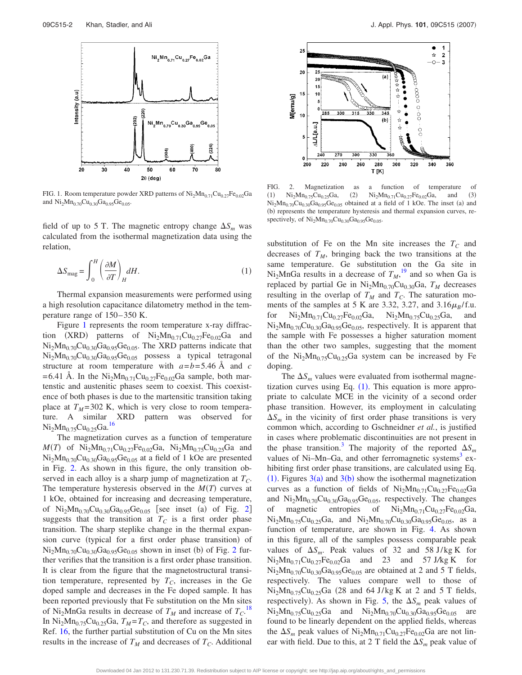<span id="page-3-0"></span>

FIG. 1. Room temperature powder XRD patterns of  $Ni<sub>2</sub>Mn<sub>0.71</sub>Cu<sub>0.27</sub>Fe<sub>0.02</sub>Ga$ and  $Ni<sub>2</sub>Mn<sub>0.70</sub>Cu<sub>0.30</sub>Ga<sub>0.95</sub>Ge<sub>0.05</sub>$ .

field of up to 5 T. The magnetic entropy change  $\Delta S_m$  was calculated from the isothermal magnetization data using the relation,

<span id="page-3-2"></span>
$$
\Delta S_{\text{mag}} = \int_0^H \left(\frac{\partial M}{\partial T}\right)_H dH. \tag{1}
$$

Thermal expansion measurements were performed using a high resolution capacitance dilatometry method in the temperature range of 150–350 K.

Figure [1](#page-3-0) represents the room temperature x-ray diffraction (XRD) patterns of  $Ni<sub>2</sub>Mn<sub>0.71</sub>Cu<sub>0.27</sub>Fe<sub>0.02</sub>Ga$  and  $Ni<sub>2</sub>Mn<sub>0.70</sub>Cu<sub>0.30</sub>Ga<sub>0.95</sub>Ge<sub>0.05</sub>$ . The XRD patterns indicate that  $Ni<sub>2</sub>Mn<sub>0.70</sub>Cu<sub>0.30</sub>Ga<sub>0.95</sub>Ge<sub>0.05</sub>$  possess a typical tetragonal structure at room temperature with *a*=*b*=5.46 Å and *c* =6.41 Å. In the  $Ni<sub>2</sub>Mn<sub>0.71</sub>Cu<sub>0.27</sub>Fe<sub>0.02</sub>Ga sample, both mar$ tenstic and austenitic phases seem to coexist. This coexistence of both phases is due to the martensitic transition taking place at  $T_M$ =302 K, which is very close to room temperature. A similar XRD pattern was observed for  $Ni<sub>2</sub>Mn<sub>0.75</sub>Cu<sub>0.25</sub>Ga.<sup>16</sup>$ 

The magnetization curves as a function of temperature  $M(T)$  of  $Ni<sub>2</sub>Mn<sub>0.71</sub>Cu<sub>0.27</sub>Fe<sub>0.02</sub>Ga$ ,  $Ni<sub>2</sub>Mn<sub>0.75</sub>Cu<sub>0.25</sub>Ga$  and  $Ni<sub>2</sub>Mn<sub>0.70</sub>Cu<sub>0.30</sub>Ga<sub>0.95</sub>Ge<sub>0.05</sub>$  at a field of 1 kOe are presented in Fig. [2.](#page-3-1) As shown in this figure, the only transition observed in each alloy is a sharp jump of magnetization at  $T_C$ . The temperature hysteresis observed in the  $M(T)$  curves at 1 kOe, obtained for increasing and decreasing temperature, of  $Ni_2Mn_{0.70}Cu_{0.30}Ga_{0.95}Ge_{0.05}$  $Ni_2Mn_{0.70}Cu_{0.30}Ga_{0.95}Ge_{0.05}$  $Ni_2Mn_{0.70}Cu_{0.30}Ga_{0.95}Ge_{0.05}$  [see inset (a) of Fig. 2] suggests that the transition at  $T_c$  is a first order phase transition. The sharp steplike change in the thermal expansion curve (typical for a first order phase transition) of  $Ni<sub>2</sub>Mn<sub>0.70</sub>Cu<sub>0.30</sub>Ga<sub>0.95</sub>Ge<sub>0.05</sub> shown in inset (b) of Fig. 2 fur Ni<sub>2</sub>Mn<sub>0.70</sub>Cu<sub>0.30</sub>Ga<sub>0.95</sub>Ge<sub>0.05</sub> shown in inset (b) of Fig. 2 fur Ni<sub>2</sub>Mn<sub>0.70</sub>Cu<sub>0.30</sub>Ga<sub>0.95</sub>Ge<sub>0.05</sub> shown in inset (b) of Fig. 2 fur$ ther verifies that the transition is a first order phase transition. It is clear from the figure that the magnetostructural transition temperature, represented by  $T_C$ , increases in the Ge doped sample and decreases in the Fe doped sample. It has been reported previously that Fe substitution on the Mn sites of Ni<sub>2</sub>MnGa results in decrease of  $T_M$  and increase of  $T_C$ .<sup>[18](#page-4-12)</sup> In  $\text{Ni}_2\text{Mn}_{0.75}\text{Cu}_{0.25}\text{Ga}$ ,  $T_M = T_C$ , and therefore as suggested in Ref. [16,](#page-4-10) the further partial substitution of Cu on the Mn sites results in the increase of  $T_M$  and decreases of  $T_C$ . Additional

<span id="page-3-1"></span>

FIG. 2. Magnetization as a function of temperature of  $(1)$  $Ni<sub>2</sub>Mn<sub>0.75</sub>Cu<sub>0.25</sub>Ga,$  (2)  $Ni<sub>2</sub>Mn<sub>0.71</sub>Cu<sub>0.27</sub>Fe<sub>0.02</sub>Ga$ , and  $(3)$  $Ni<sub>2</sub>Mn<sub>0.70</sub>Cu<sub>0.30</sub>Ga<sub>0.95</sub>Ge<sub>0.05</sub> obtained at a field of 1 kOe. The inset (a) and$ (b) represents the temperature hysteresis and thermal expansion curves, respectively, of  $Ni<sub>2</sub>Mn<sub>0.70</sub>Cu<sub>0.30</sub>Ga<sub>0.95</sub>Ge<sub>0.05</sub>$ .

substitution of Fe on the Mn site increases the  $T_c$  and decreases of  $T_M$ , bringing back the two transitions at the same temperature. Ge substitution on the Ga site in  $Ni<sub>2</sub>MnGa$  results in a decrease of  $T_M$ ,<sup>[19](#page-4-13)</sup> and so when Ga is replaced by partial Ge in  $Ni<sub>2</sub>Mn<sub>0.70</sub>Cu<sub>0.30</sub>Ga$ ,  $T<sub>M</sub>$  decreases resulting in the overlap of  $T_M$  and  $T_C$ . The saturation moments of the samples at 5 K are 3.32, 3.27, and  $3.16\mu_B/f.u.$ for  $Ni<sub>2</sub>Mn<sub>0.71</sub>Cu<sub>0.27</sub>Fe<sub>0.02</sub>Ga$ ,  $Ni<sub>2</sub>Mn<sub>0.75</sub>Cu<sub>0.25</sub>Ga$ , and  $Ni<sub>2</sub>Mn<sub>0.70</sub>Cu<sub>0.30</sub>Ga<sub>0.95</sub>Ge<sub>0.05</sub>$ , respectively. It is apparent that the sample with Fe possesses a higher saturation moment than the other two samples, suggesting that the moment of the  $Ni<sub>2</sub>Mn<sub>0.75</sub>Cu<sub>0.25</sub>Ga$  system can be increased by Fe doping.

The  $\Delta S_m$  values were evaluated from isothermal magnetization curves using Eq.  $(1)$  $(1)$  $(1)$ . This equation is more appropriate to calculate MCE in the vicinity of a second order phase transition. However, its employment in calculating  $\Delta S_m$  in the vicinity of first order phase transitions is very common which, according to Gschneidner *et al.*, is justified in cases where problematic discontinuities are not present in the phase transition.<sup>3</sup> The majority of the reported  $\Delta S_m$ values of Ni-Mn-Ga, and other ferromagnetic systems<sup>3</sup> exhibiting first order phase transitions, are calculated using Eq. ([1](#page-3-2)). Figures  $3(a)$  $3(a)$  and  $3(b)$  show the isothermal magnetization curves as a function of fields of  $Ni<sub>2</sub>Mn<sub>0.71</sub>Cu<sub>0.27</sub>Fe<sub>0.02</sub>Ga$ and  $Ni<sub>2</sub>Mn<sub>0.70</sub>Cu<sub>0.30</sub>Ga<sub>0.95</sub>Ge<sub>0.05</sub>$ , respectively. The changes of magnetic entropies of  $Ni<sub>2</sub>Mn<sub>0.71</sub>Cu<sub>0.27</sub>Fe<sub>0.02</sub>Ga$ ,  $Ni<sub>2</sub>Mn<sub>0.75</sub>Cu<sub>0.25</sub>Ga$ , and  $Ni<sub>2</sub>Mn<sub>0.70</sub>Cu<sub>0.30</sub>Ga<sub>0.95</sub>Ge<sub>0.05</sub>$ , as a function of temperature, are shown in Fig. [4.](#page-4-15) As shown in this figure, all of the samples possess comparable peak values of  $\Delta S_m$ . Peak values of 32 and 58 J/kg K for  $Ni<sub>2</sub>Mn<sub>0.71</sub>Cu<sub>0.27</sub>Fe<sub>0.02</sub>Ga$  and 23 and 57 J/kg K for  $Ni<sub>2</sub>Mn<sub>0.70</sub>Cu<sub>0.30</sub>Ga<sub>0.95</sub>Ge<sub>0.05</sub>$  are obtained at 2 and 5 T fields, respectively. The values compare well to those of  $Ni<sub>2</sub>Mn<sub>0.75</sub>Cu<sub>0.25</sub>Ga$  (28 and 64 J/kg K at 2 and 5 T fields, respectively). As shown in Fig. [5,](#page-4-16) the  $\Delta S_m$  peak values of  $Ni<sub>2</sub>Mn<sub>0.75</sub>Cu<sub>0.25</sub>Ga$  and  $Ni<sub>2</sub>Mn<sub>0.70</sub>Cu<sub>0.30</sub>Ga<sub>0.95</sub>Ge<sub>0.05</sub>$  are found to be linearly dependent on the applied fields, whereas the  $\Delta S_m$  peak values of  $Ni_2Mn_{0.71}Cu_{0.27}Fe_{0.02}Ga$  are not linear with field. Due to this, at 2 T field the  $\Delta S_m$  peak value of